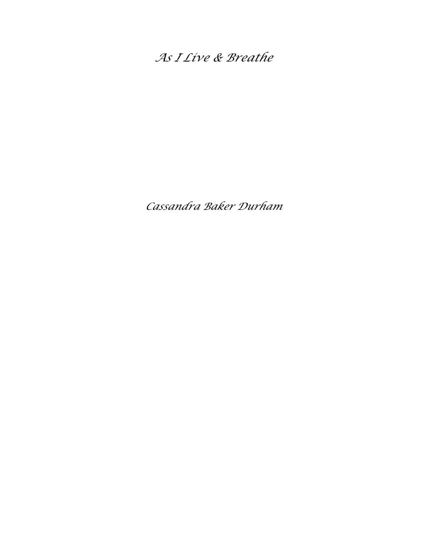*As I Live & Breathe*

*Cassandra Baker Durham*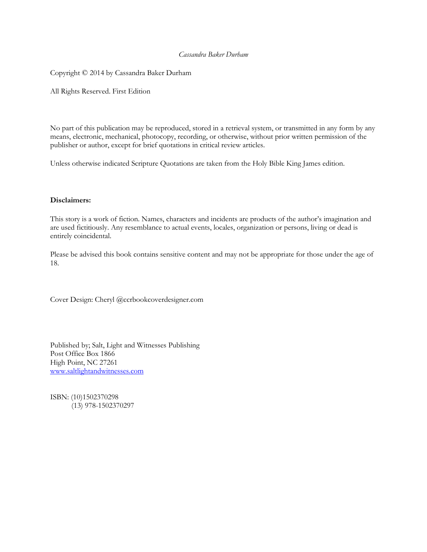### *Cassandra Baker Durham*

Copyright © 2014 by Cassandra Baker Durham

All Rights Reserved. First Edition

No part of this publication may be reproduced, stored in a retrieval system, or transmitted in any form by any means, electronic, mechanical, photocopy, recording, or otherwise, without prior written permission of the publisher or author, except for brief quotations in critical review articles.

Unless otherwise indicated Scripture Quotations are taken from the Holy Bible King James edition.

#### **Disclaimers:**

This story is a work of fiction. Names, characters and incidents are products of the author's imagination and are used fictitiously. Any resemblance to actual events, locales, organization or persons, living or dead is entirely coincidental.

Please be advised this book contains sensitive content and may not be appropriate for those under the age of 18.

Cover Design: Cheryl @ccrbookcoverdesigner.com

Published by; Salt, Light and Witnesses Publishing Post Office Box 1866 High Point, NC 27261 [www.saltlightandwitnesses.com](http://www.saltlightandwitnesses.com/)

ISBN: (10)1502370298 (13) 978-1502370297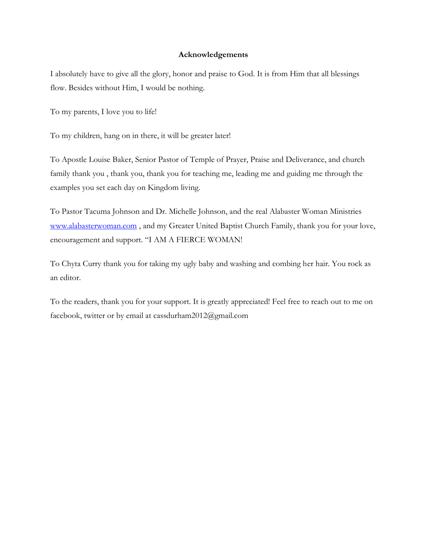## **Acknowledgements**

I absolutely have to give all the glory, honor and praise to God. It is from Him that all blessings flow. Besides without Him, I would be nothing.

To my parents, I love you to life!

To my children, hang on in there, it will be greater later!

To Apostle Louise Baker, Senior Pastor of Temple of Prayer, Praise and Deliverance, and church family thank you , thank you, thank you for teaching me, leading me and guiding me through the examples you set each day on Kingdom living.

To Pastor Tacuma Johnson and Dr. Michelle Johnson, and the real Alabaster Woman Ministries [www.alabasterwoman.com](http://www.alabasterwoman.com/), and my Greater United Baptist Church Family, thank you for your love, encouragement and support. "I AM A FIERCE WOMAN!

To Chyta Curry thank you for taking my ugly baby and washing and combing her hair. You rock as an editor.

To the readers, thank you for your support. It is greatly appreciated! Feel free to reach out to me on facebook, twitter or by email at cassdurham2012@gmail.com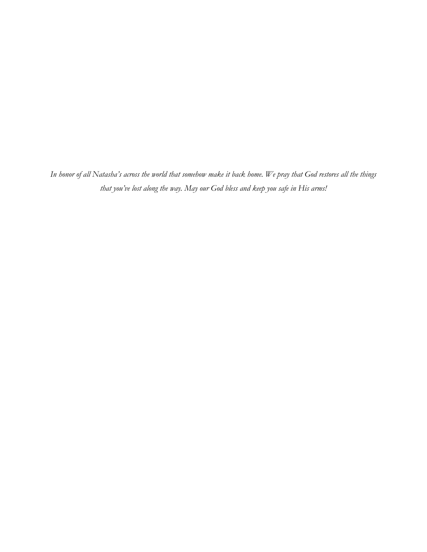*In honor of all Natasha's across the world that somehow make it back home. We pray that God restores all the things that you've lost along the way. May our God bless and keep you safe in His arms!*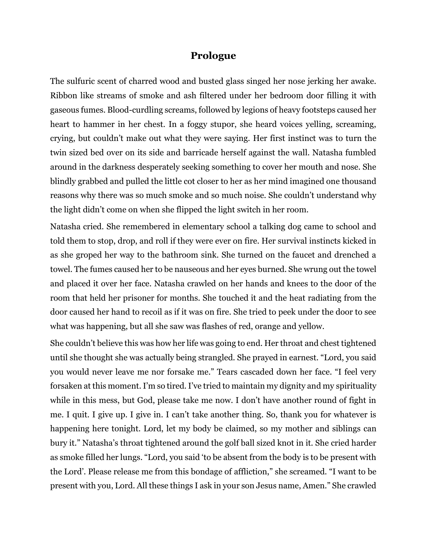## **Prologue**

The sulfuric scent of charred wood and busted glass singed her nose jerking her awake. Ribbon like streams of smoke and ash filtered under her bedroom door filling it with gaseous fumes. Blood-curdling screams, followed by legions of heavy footsteps caused her heart to hammer in her chest. In a foggy stupor, she heard voices yelling, screaming, crying, but couldn't make out what they were saying. Her first instinct was to turn the twin sized bed over on its side and barricade herself against the wall. Natasha fumbled around in the darkness desperately seeking something to cover her mouth and nose. She blindly grabbed and pulled the little cot closer to her as her mind imagined one thousand reasons why there was so much smoke and so much noise. She couldn't understand why the light didn't come on when she flipped the light switch in her room.

Natasha cried. She remembered in elementary school a talking dog came to school and told them to stop, drop, and roll if they were ever on fire. Her survival instincts kicked in as she groped her way to the bathroom sink. She turned on the faucet and drenched a towel. The fumes caused her to be nauseous and her eyes burned. She wrung out the towel and placed it over her face. Natasha crawled on her hands and knees to the door of the room that held her prisoner for months. She touched it and the heat radiating from the door caused her hand to recoil as if it was on fire. She tried to peek under the door to see what was happening, but all she saw was flashes of red, orange and yellow.

She couldn't believe this was how her life was going to end. Her throat and chest tightened until she thought she was actually being strangled. She prayed in earnest. "Lord, you said you would never leave me nor forsake me." Tears cascaded down her face. "I feel very forsaken at this moment. I'm so tired. I've tried to maintain my dignity and my spirituality while in this mess, but God, please take me now. I don't have another round of fight in me. I quit. I give up. I give in. I can't take another thing. So, thank you for whatever is happening here tonight. Lord, let my body be claimed, so my mother and siblings can bury it." Natasha's throat tightened around the golf ball sized knot in it. She cried harder as smoke filled her lungs. "Lord, you said 'to be absent from the body is to be present with the Lord'. Please release me from this bondage of affliction," she screamed. "I want to be present with you, Lord. All these things I ask in your son Jesus name, Amen." She crawled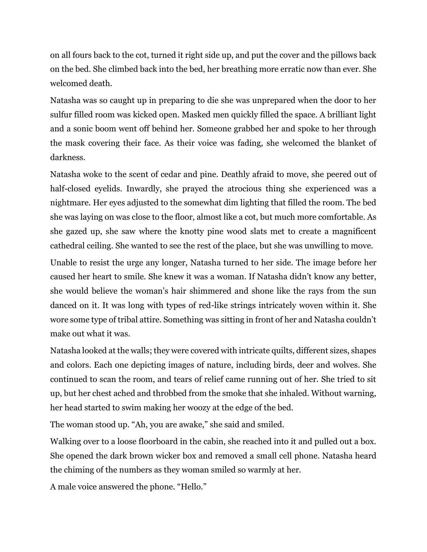on all fours back to the cot, turned it right side up, and put the cover and the pillows back on the bed. She climbed back into the bed, her breathing more erratic now than ever. She welcomed death.

Natasha was so caught up in preparing to die she was unprepared when the door to her sulfur filled room was kicked open. Masked men quickly filled the space. A brilliant light and a sonic boom went off behind her. Someone grabbed her and spoke to her through the mask covering their face. As their voice was fading, she welcomed the blanket of darkness.

Natasha woke to the scent of cedar and pine. Deathly afraid to move, she peered out of half-closed eyelids. Inwardly, she prayed the atrocious thing she experienced was a nightmare. Her eyes adjusted to the somewhat dim lighting that filled the room. The bed she was laying on was close to the floor, almost like a cot, but much more comfortable. As she gazed up, she saw where the knotty pine wood slats met to create a magnificent cathedral ceiling. She wanted to see the rest of the place, but she was unwilling to move.

Unable to resist the urge any longer, Natasha turned to her side. The image before her caused her heart to smile. She knew it was a woman. If Natasha didn't know any better, she would believe the woman's hair shimmered and shone like the rays from the sun danced on it. It was long with types of red-like strings intricately woven within it. She wore some type of tribal attire. Something was sitting in front of her and Natasha couldn't make out what it was.

Natasha looked at the walls; they were covered with intricate quilts, different sizes, shapes and colors. Each one depicting images of nature, including birds, deer and wolves. She continued to scan the room, and tears of relief came running out of her. She tried to sit up, but her chest ached and throbbed from the smoke that she inhaled. Without warning, her head started to swim making her woozy at the edge of the bed.

The woman stood up. "Ah, you are awake," she said and smiled.

Walking over to a loose floorboard in the cabin, she reached into it and pulled out a box. She opened the dark brown wicker box and removed a small cell phone. Natasha heard the chiming of the numbers as they woman smiled so warmly at her.

A male voice answered the phone. "Hello."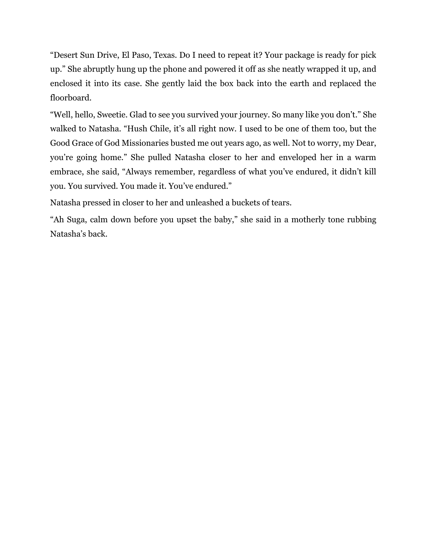"Desert Sun Drive, El Paso, Texas. Do I need to repeat it? Your package is ready for pick up." She abruptly hung up the phone and powered it off as she neatly wrapped it up, and enclosed it into its case. She gently laid the box back into the earth and replaced the floorboard.

"Well, hello, Sweetie. Glad to see you survived your journey. So many like you don't." She walked to Natasha. "Hush Chile, it's all right now. I used to be one of them too, but the Good Grace of God Missionaries busted me out years ago, as well. Not to worry, my Dear, you're going home." She pulled Natasha closer to her and enveloped her in a warm embrace, she said, "Always remember, regardless of what you've endured, it didn't kill you. You survived. You made it. You've endured."

Natasha pressed in closer to her and unleashed a buckets of tears.

"Ah Suga, calm down before you upset the baby," she said in a motherly tone rubbing Natasha's back.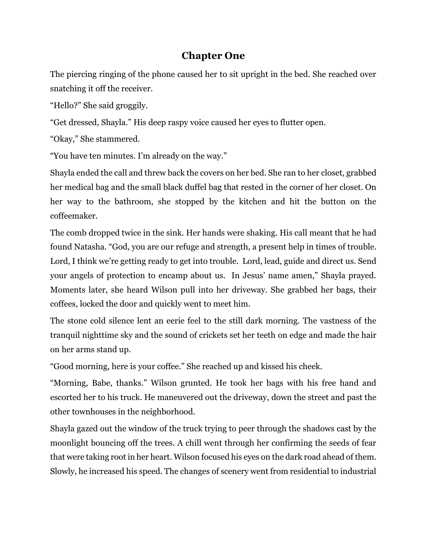# **Chapter One**

The piercing ringing of the phone caused her to sit upright in the bed. She reached over snatching it off the receiver.

"Hello?" She said groggily.

"Get dressed, Shayla." His deep raspy voice caused her eyes to flutter open.

"Okay," She stammered.

"You have ten minutes. I'm already on the way."

Shayla ended the call and threw back the covers on her bed. She ran to her closet, grabbed her medical bag and the small black duffel bag that rested in the corner of her closet. On her way to the bathroom, she stopped by the kitchen and hit the button on the coffeemaker.

The comb dropped twice in the sink. Her hands were shaking. His call meant that he had found Natasha. "God, you are our refuge and strength, a present help in times of trouble. Lord, I think we're getting ready to get into trouble. Lord, lead, guide and direct us. Send your angels of protection to encamp about us. In Jesus' name amen," Shayla prayed. Moments later, she heard Wilson pull into her driveway. She grabbed her bags, their coffees, locked the door and quickly went to meet him.

The stone cold silence lent an eerie feel to the still dark morning. The vastness of the tranquil nighttime sky and the sound of crickets set her teeth on edge and made the hair on her arms stand up.

"Good morning, here is your coffee." She reached up and kissed his cheek.

"Morning, Babe, thanks." Wilson grunted. He took her bags with his free hand and escorted her to his truck. He maneuvered out the driveway, down the street and past the other townhouses in the neighborhood.

Shayla gazed out the window of the truck trying to peer through the shadows cast by the moonlight bouncing off the trees. A chill went through her confirming the seeds of fear that were taking root in her heart. Wilson focused his eyes on the dark road ahead of them. Slowly, he increased his speed. The changes of scenery went from residential to industrial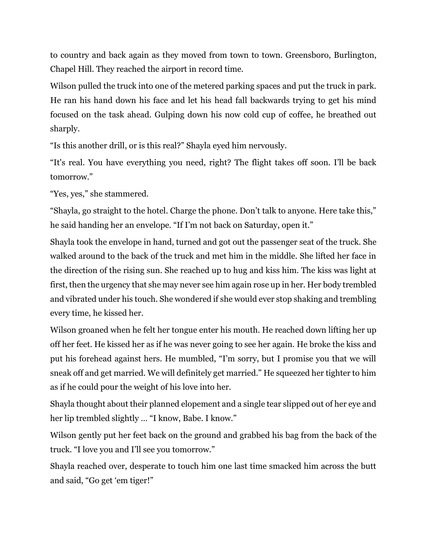to country and back again as they moved from town to town. Greensboro, Burlington, Chapel Hill. They reached the airport in record time.

Wilson pulled the truck into one of the metered parking spaces and put the truck in park. He ran his hand down his face and let his head fall backwards trying to get his mind focused on the task ahead. Gulping down his now cold cup of coffee, he breathed out sharply.

"Is this another drill, or is this real?" Shayla eyed him nervously.

"It's real. You have everything you need, right? The flight takes off soon. I'll be back tomorrow."

"Yes, yes," she stammered.

"Shayla, go straight to the hotel. Charge the phone. Don't talk to anyone. Here take this," he said handing her an envelope. "If I'm not back on Saturday, open it."

Shayla took the envelope in hand, turned and got out the passenger seat of the truck. She walked around to the back of the truck and met him in the middle. She lifted her face in the direction of the rising sun. She reached up to hug and kiss him. The kiss was light at first, then the urgency that she may never see him again rose up in her. Her body trembled and vibrated under his touch. She wondered if she would ever stop shaking and trembling every time, he kissed her.

Wilson groaned when he felt her tongue enter his mouth. He reached down lifting her up off her feet. He kissed her as if he was never going to see her again. He broke the kiss and put his forehead against hers. He mumbled, "I'm sorry, but I promise you that we will sneak off and get married. We will definitely get married." He squeezed her tighter to him as if he could pour the weight of his love into her.

Shayla thought about their planned elopement and a single tear slipped out of her eye and her lip trembled slightly … "I know, Babe. I know."

Wilson gently put her feet back on the ground and grabbed his bag from the back of the truck. "I love you and I'll see you tomorrow."

Shayla reached over, desperate to touch him one last time smacked him across the butt and said, "Go get 'em tiger!"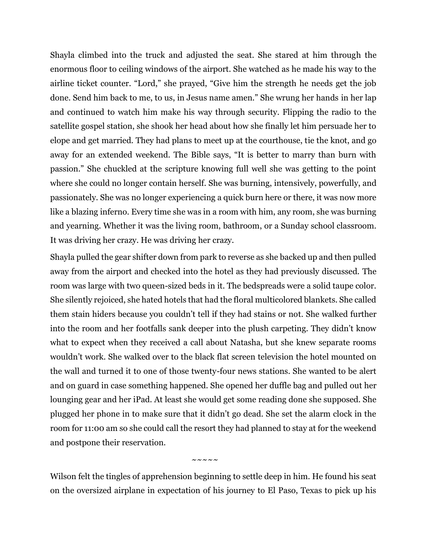Shayla climbed into the truck and adjusted the seat. She stared at him through the enormous floor to ceiling windows of the airport. She watched as he made his way to the airline ticket counter. "Lord," she prayed, "Give him the strength he needs get the job done. Send him back to me, to us, in Jesus name amen." She wrung her hands in her lap and continued to watch him make his way through security. Flipping the radio to the satellite gospel station, she shook her head about how she finally let him persuade her to elope and get married. They had plans to meet up at the courthouse, tie the knot, and go away for an extended weekend. The Bible says, "It is better to marry than burn with passion." She chuckled at the scripture knowing full well she was getting to the point where she could no longer contain herself. She was burning, intensively, powerfully, and passionately. She was no longer experiencing a quick burn here or there, it was now more like a blazing inferno. Every time she was in a room with him, any room, she was burning and yearning. Whether it was the living room, bathroom, or a Sunday school classroom. It was driving her crazy. He was driving her crazy.

Shayla pulled the gear shifter down from park to reverse as she backed up and then pulled away from the airport and checked into the hotel as they had previously discussed. The room was large with two queen-sized beds in it. The bedspreads were a solid taupe color. She silently rejoiced, she hated hotels that had the floral multicolored blankets. She called them stain hiders because you couldn't tell if they had stains or not. She walked further into the room and her footfalls sank deeper into the plush carpeting. They didn't know what to expect when they received a call about Natasha, but she knew separate rooms wouldn't work. She walked over to the black flat screen television the hotel mounted on the wall and turned it to one of those twenty-four news stations. She wanted to be alert and on guard in case something happened. She opened her duffle bag and pulled out her lounging gear and her iPad. At least she would get some reading done she supposed. She plugged her phone in to make sure that it didn't go dead. She set the alarm clock in the room for 11:00 am so she could call the resort they had planned to stay at for the weekend and postpone their reservation.

 $\sim$   $\sim$   $\sim$   $\sim$   $\sim$   $\sim$ 

Wilson felt the tingles of apprehension beginning to settle deep in him. He found his seat on the oversized airplane in expectation of his journey to El Paso, Texas to pick up his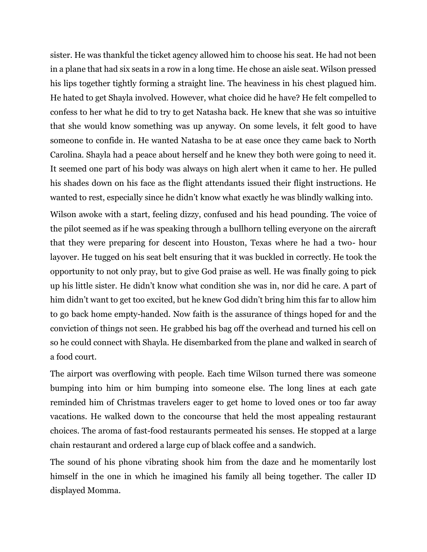sister. He was thankful the ticket agency allowed him to choose his seat. He had not been in a plane that had six seats in a row in a long time. He chose an aisle seat. Wilson pressed his lips together tightly forming a straight line. The heaviness in his chest plagued him. He hated to get Shayla involved. However, what choice did he have? He felt compelled to confess to her what he did to try to get Natasha back. He knew that she was so intuitive that she would know something was up anyway. On some levels, it felt good to have someone to confide in. He wanted Natasha to be at ease once they came back to North Carolina. Shayla had a peace about herself and he knew they both were going to need it. It seemed one part of his body was always on high alert when it came to her. He pulled his shades down on his face as the flight attendants issued their flight instructions. He wanted to rest, especially since he didn't know what exactly he was blindly walking into.

Wilson awoke with a start, feeling dizzy, confused and his head pounding. The voice of the pilot seemed as if he was speaking through a bullhorn telling everyone on the aircraft that they were preparing for descent into Houston, Texas where he had a two- hour layover. He tugged on his seat belt ensuring that it was buckled in correctly. He took the opportunity to not only pray, but to give God praise as well. He was finally going to pick up his little sister. He didn't know what condition she was in, nor did he care. A part of him didn't want to get too excited, but he knew God didn't bring him this far to allow him to go back home empty-handed. Now faith is the assurance of things hoped for and the conviction of things not seen. He grabbed his bag off the overhead and turned his cell on so he could connect with Shayla. He disembarked from the plane and walked in search of a food court.

The airport was overflowing with people. Each time Wilson turned there was someone bumping into him or him bumping into someone else. The long lines at each gate reminded him of Christmas travelers eager to get home to loved ones or too far away vacations. He walked down to the concourse that held the most appealing restaurant choices. The aroma of fast-food restaurants permeated his senses. He stopped at a large chain restaurant and ordered a large cup of black coffee and a sandwich.

The sound of his phone vibrating shook him from the daze and he momentarily lost himself in the one in which he imagined his family all being together. The caller ID displayed Momma.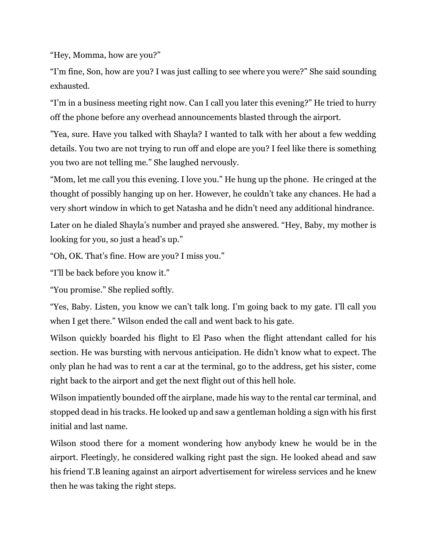"Hey, Momma, how are you?"

"I'm fine, Son, how are you? I was just calling to see where you were?" She said sounding exhausted.

"I'm in a business meeting right now. Can I call you later this evening?" He tried to hurry off the phone before any overhead announcements blasted through the airport.

"Yea, sure. Have you talked with Shayla? I wanted to talk with her about a few wedding details. You two are not trying to run off and elope are you? I feel like there is something you two are not telling me." She laughed nervously.

"Mom, let me call you this evening. I love you." He hung up the phone. He cringed at the thought of possibly hanging up on her. However, he couldn't take any chances. He had a very short window in which to get Natasha and he didn't need any additional hindrance.

Later on he dialed Shayla's number and prayed she answered. "Hey, Baby, my mother is looking for you, so just a head's up."

"Oh, OK. That's fine. How are you? I miss you."

"I'll be back before you know it."

"You promise." She replied softly.

"Yes, Baby. Listen, you know we can't talk long. I'm going back to my gate. I'll call you when I get there." Wilson ended the call and went back to his gate.

Wilson quickly boarded his flight to El Paso when the flight attendant called for his section. He was bursting with nervous anticipation. He didn't know what to expect. The only plan he had was to rent a car at the terminal, go to the address, get his sister, come right back to the airport and get the next flight out of this hell hole.

Wilson impatiently bounded off the airplane, made his way to the rental car terminal, and stopped dead in his tracks. He looked up and saw a gentleman holding a sign with his first initial and last name.

Wilson stood there for a moment wondering how anybody knew he would be in the airport. Fleetingly, he considered walking right past the sign. He looked ahead and saw his friend T.B leaning against an airport advertisement for wireless services and he knew then he was taking the right steps.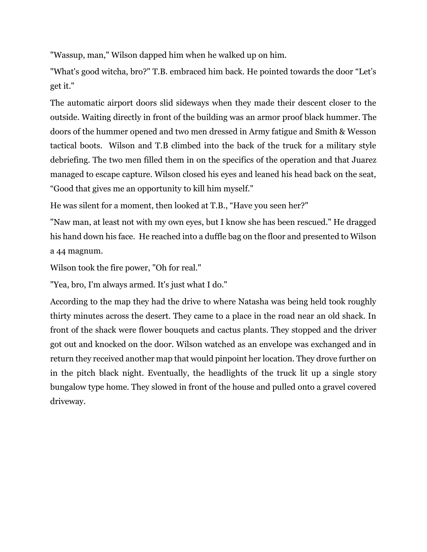"Wassup, man," Wilson dapped him when he walked up on him.

"What's good witcha, bro?" T.B. embraced him back. He pointed towards the door "Let's get it."

The automatic airport doors slid sideways when they made their descent closer to the outside. Waiting directly in front of the building was an armor proof black hummer. The doors of the hummer opened and two men dressed in Army fatigue and Smith & Wesson tactical boots. Wilson and T.B climbed into the back of the truck for a military style debriefing. The two men filled them in on the specifics of the operation and that Juarez managed to escape capture. Wilson closed his eyes and leaned his head back on the seat, "Good that gives me an opportunity to kill him myself."

He was silent for a moment, then looked at T.B., "Have you seen her?"

"Naw man, at least not with my own eyes, but I know she has been rescued." He dragged his hand down his face. He reached into a duffle bag on the floor and presented to Wilson a 44 magnum.

Wilson took the fire power, "Oh for real."

"Yea, bro, I'm always armed. It's just what I do."

According to the map they had the drive to where Natasha was being held took roughly thirty minutes across the desert. They came to a place in the road near an old shack. In front of the shack were flower bouquets and cactus plants. They stopped and the driver got out and knocked on the door. Wilson watched as an envelope was exchanged and in return they received another map that would pinpoint her location. They drove further on in the pitch black night. Eventually, the headlights of the truck lit up a single story bungalow type home. They slowed in front of the house and pulled onto a gravel covered driveway.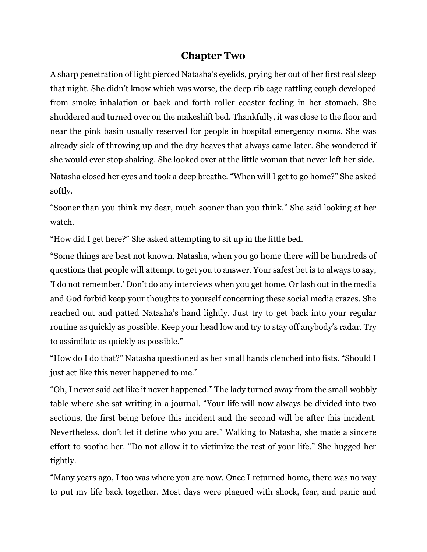# **Chapter Two**

A sharp penetration of light pierced Natasha's eyelids, prying her out of her first real sleep that night. She didn't know which was worse, the deep rib cage rattling cough developed from smoke inhalation or back and forth roller coaster feeling in her stomach. She shuddered and turned over on the makeshift bed. Thankfully, it was close to the floor and near the pink basin usually reserved for people in hospital emergency rooms. She was already sick of throwing up and the dry heaves that always came later. She wondered if she would ever stop shaking. She looked over at the little woman that never left her side.

Natasha closed her eyes and took a deep breathe. "When will I get to go home?" She asked softly.

"Sooner than you think my dear, much sooner than you think." She said looking at her watch.

"How did I get here?" She asked attempting to sit up in the little bed.

"Some things are best not known. Natasha, when you go home there will be hundreds of questions that people will attempt to get you to answer. Your safest bet is to always to say, 'I do not remember.' Don't do any interviews when you get home. Or lash out in the media and God forbid keep your thoughts to yourself concerning these social media crazes. She reached out and patted Natasha's hand lightly. Just try to get back into your regular routine as quickly as possible. Keep your head low and try to stay off anybody's radar. Try to assimilate as quickly as possible."

"How do I do that?" Natasha questioned as her small hands clenched into fists. "Should I just act like this never happened to me."

"Oh, I never said act like it never happened." The lady turned away from the small wobbly table where she sat writing in a journal. "Your life will now always be divided into two sections, the first being before this incident and the second will be after this incident. Nevertheless, don't let it define who you are." Walking to Natasha, she made a sincere effort to soothe her. "Do not allow it to victimize the rest of your life." She hugged her tightly.

"Many years ago, I too was where you are now. Once I returned home, there was no way to put my life back together. Most days were plagued with shock, fear, and panic and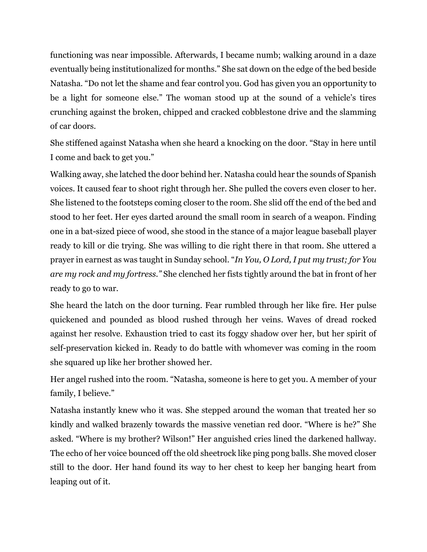functioning was near impossible. Afterwards, I became numb; walking around in a daze eventually being institutionalized for months." She sat down on the edge of the bed beside Natasha. "Do not let the shame and fear control you. God has given you an opportunity to be a light for someone else." The woman stood up at the sound of a vehicle's tires crunching against the broken, chipped and cracked cobblestone drive and the slamming of car doors.

She stiffened against Natasha when she heard a knocking on the door. "Stay in here until I come and back to get you."

Walking away, she latched the door behind her. Natasha could hear the sounds of Spanish voices. It caused fear to shoot right through her. She pulled the covers even closer to her. She listened to the footsteps coming closer to the room. She slid off the end of the bed and stood to her feet. Her eyes darted around the small room in search of a weapon. Finding one in a bat-sized piece of wood, she stood in the stance of a major league baseball player ready to kill or die trying. She was willing to die right there in that room. She uttered a prayer in earnest as was taught in Sunday school. "*In You, O Lord, I put my trust; for You are my rock and my fortress."* She clenched her fists tightly around the bat in front of her ready to go to war.

She heard the latch on the door turning. Fear rumbled through her like fire. Her pulse quickened and pounded as blood rushed through her veins. Waves of dread rocked against her resolve. Exhaustion tried to cast its foggy shadow over her, but her spirit of self-preservation kicked in. Ready to do battle with whomever was coming in the room she squared up like her brother showed her.

Her angel rushed into the room. "Natasha, someone is here to get you. A member of your family, I believe."

Natasha instantly knew who it was. She stepped around the woman that treated her so kindly and walked brazenly towards the massive venetian red door. "Where is he?" She asked. "Where is my brother? Wilson!" Her anguished cries lined the darkened hallway. The echo of her voice bounced off the old sheetrock like ping pong balls. She moved closer still to the door. Her hand found its way to her chest to keep her banging heart from leaping out of it.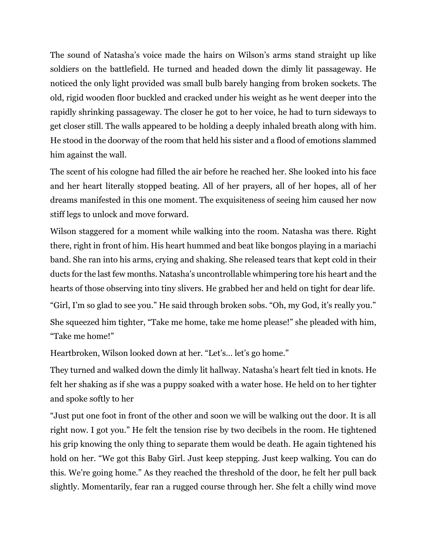The sound of Natasha's voice made the hairs on Wilson's arms stand straight up like soldiers on the battlefield. He turned and headed down the dimly lit passageway. He noticed the only light provided was small bulb barely hanging from broken sockets. The old, rigid wooden floor buckled and cracked under his weight as he went deeper into the rapidly shrinking passageway. The closer he got to her voice, he had to turn sideways to get closer still. The walls appeared to be holding a deeply inhaled breath along with him. He stood in the doorway of the room that held his sister and a flood of emotions slammed him against the wall.

The scent of his cologne had filled the air before he reached her. She looked into his face and her heart literally stopped beating. All of her prayers, all of her hopes, all of her dreams manifested in this one moment. The exquisiteness of seeing him caused her now stiff legs to unlock and move forward.

Wilson staggered for a moment while walking into the room. Natasha was there. Right there, right in front of him. His heart hummed and beat like bongos playing in a mariachi band. She ran into his arms, crying and shaking. She released tears that kept cold in their ducts for the last few months. Natasha's uncontrollable whimpering tore his heart and the hearts of those observing into tiny slivers. He grabbed her and held on tight for dear life. "Girl, I'm so glad to see you." He said through broken sobs. "Oh, my God, it's really you." She squeezed him tighter, "Take me home, take me home please!" she pleaded with him, "Take me home!"

Heartbroken, Wilson looked down at her. "Let's… let's go home."

They turned and walked down the dimly lit hallway. Natasha's heart felt tied in knots. He felt her shaking as if she was a puppy soaked with a water hose. He held on to her tighter and spoke softly to her

"Just put one foot in front of the other and soon we will be walking out the door. It is all right now. I got you." He felt the tension rise by two decibels in the room. He tightened his grip knowing the only thing to separate them would be death. He again tightened his hold on her. "We got this Baby Girl. Just keep stepping. Just keep walking. You can do this. We're going home." As they reached the threshold of the door, he felt her pull back slightly. Momentarily, fear ran a rugged course through her. She felt a chilly wind move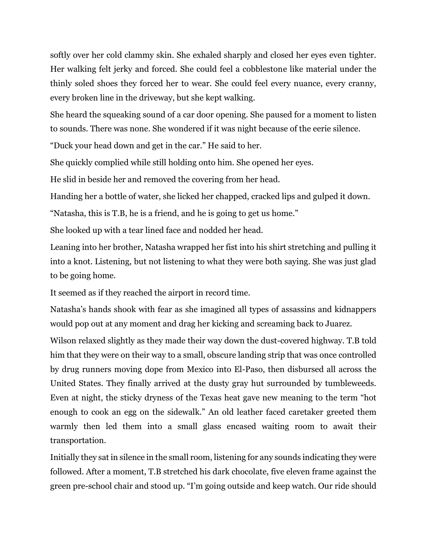softly over her cold clammy skin. She exhaled sharply and closed her eyes even tighter. Her walking felt jerky and forced. She could feel a cobblestone like material under the thinly soled shoes they forced her to wear. She could feel every nuance, every cranny, every broken line in the driveway, but she kept walking.

She heard the squeaking sound of a car door opening. She paused for a moment to listen to sounds. There was none. She wondered if it was night because of the eerie silence.

"Duck your head down and get in the car." He said to her.

She quickly complied while still holding onto him. She opened her eyes.

He slid in beside her and removed the covering from her head.

Handing her a bottle of water, she licked her chapped, cracked lips and gulped it down.

"Natasha, this is T.B, he is a friend, and he is going to get us home."

She looked up with a tear lined face and nodded her head.

Leaning into her brother, Natasha wrapped her fist into his shirt stretching and pulling it into a knot. Listening, but not listening to what they were both saying. She was just glad to be going home.

It seemed as if they reached the airport in record time.

Natasha's hands shook with fear as she imagined all types of assassins and kidnappers would pop out at any moment and drag her kicking and screaming back to Juarez.

Wilson relaxed slightly as they made their way down the dust-covered highway. T.B told him that they were on their way to a small, obscure landing strip that was once controlled by drug runners moving dope from Mexico into El-Paso, then disbursed all across the United States. They finally arrived at the dusty gray hut surrounded by tumbleweeds. Even at night, the sticky dryness of the Texas heat gave new meaning to the term "hot enough to cook an egg on the sidewalk." An old leather faced caretaker greeted them warmly then led them into a small glass encased waiting room to await their transportation.

Initially they sat in silence in the small room, listening for any sounds indicating they were followed. After a moment, T.B stretched his dark chocolate, five eleven frame against the green pre-school chair and stood up. "I'm going outside and keep watch. Our ride should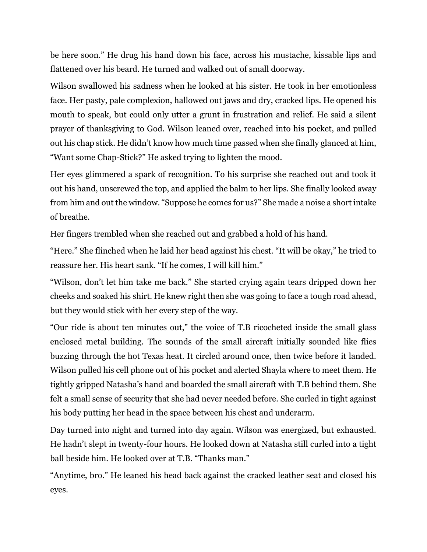be here soon." He drug his hand down his face, across his mustache, kissable lips and flattened over his beard. He turned and walked out of small doorway.

Wilson swallowed his sadness when he looked at his sister. He took in her emotionless face. Her pasty, pale complexion, hallowed out jaws and dry, cracked lips. He opened his mouth to speak, but could only utter a grunt in frustration and relief. He said a silent prayer of thanksgiving to God. Wilson leaned over, reached into his pocket, and pulled out his chap stick. He didn't know how much time passed when she finally glanced at him, "Want some Chap-Stick?" He asked trying to lighten the mood.

Her eyes glimmered a spark of recognition. To his surprise she reached out and took it out his hand, unscrewed the top, and applied the balm to her lips. She finally looked away from him and out the window. "Suppose he comes for us?" She made a noise a short intake of breathe.

Her fingers trembled when she reached out and grabbed a hold of his hand.

"Here." She flinched when he laid her head against his chest. "It will be okay," he tried to reassure her. His heart sank. "If he comes, I will kill him."

"Wilson, don't let him take me back." She started crying again tears dripped down her cheeks and soaked his shirt. He knew right then she was going to face a tough road ahead, but they would stick with her every step of the way.

"Our ride is about ten minutes out," the voice of T.B ricocheted inside the small glass enclosed metal building. The sounds of the small aircraft initially sounded like flies buzzing through the hot Texas heat. It circled around once, then twice before it landed. Wilson pulled his cell phone out of his pocket and alerted Shayla where to meet them. He tightly gripped Natasha's hand and boarded the small aircraft with T.B behind them. She felt a small sense of security that she had never needed before. She curled in tight against his body putting her head in the space between his chest and underarm.

Day turned into night and turned into day again. Wilson was energized, but exhausted. He hadn't slept in twenty-four hours. He looked down at Natasha still curled into a tight ball beside him. He looked over at T.B. "Thanks man."

"Anytime, bro." He leaned his head back against the cracked leather seat and closed his eyes.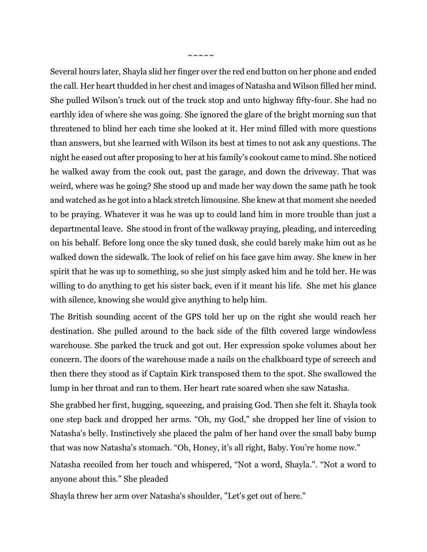$\sim$   $\sim$   $\sim$   $\sim$   $\sim$   $\sim$ 

Several hours later, Shayla slid her finger over the red end button on her phone and ended the call. Her heart thudded in her chest and images of Natasha and Wilson filled her mind. She pulled Wilson's truck out of the truck stop and unto highway fifty-four. She had no earthly idea of where she was going. She ignored the glare of the bright morning sun that threatened to blind her each time she looked at it. Her mind filled with more questions than answers, but she learned with Wilson its best at times to not ask any questions. The night he eased out after proposing to her at his family's cookout came to mind. She noticed he walked away from the cook out, past the garage, and down the driveway. That was weird, where was he going? She stood up and made her way down the same path he took and watched as he got into a black stretch limousine. She knew at that moment she needed to be praying. Whatever it was he was up to could land him in more trouble than just a departmental leave. She stood in front of the walkway praying, pleading, and interceding on his behalf. Before long once the sky tuned dusk, she could barely make him out as he walked down the sidewalk. The look of relief on his face gave him away. She knew in her spirit that he was up to something, so she just simply asked him and he told her. He was willing to do anything to get his sister back, even if it meant his life. She met his glance with silence, knowing she would give anything to help him.

The British sounding accent of the GPS told her up on the right she would reach her destination. She pulled around to the back side of the filth covered large windowless warehouse. She parked the truck and got out. Her expression spoke volumes about her concern. The doors of the warehouse made a nails on the chalkboard type of screech and then there they stood as if Captain Kirk transposed them to the spot. She swallowed the lump in her throat and ran to them. Her heart rate soared when she saw Natasha.

She grabbed her first, hugging, squeezing, and praising God. Then she felt it. Shayla took one step back and dropped her arms. "Oh, my God," she dropped her line of vision to Natasha's belly. Instinctively she placed the palm of her hand over the small baby bump that was now Natasha's stomach. "Oh, Honey, it's all right, Baby. You're home now."

Natasha recoiled from her touch and whispered, "Not a word, Shayla.". "Not a word to anyone about this." She pleaded

Shayla threw her arm over Natasha's shoulder, "Let's get out of here."